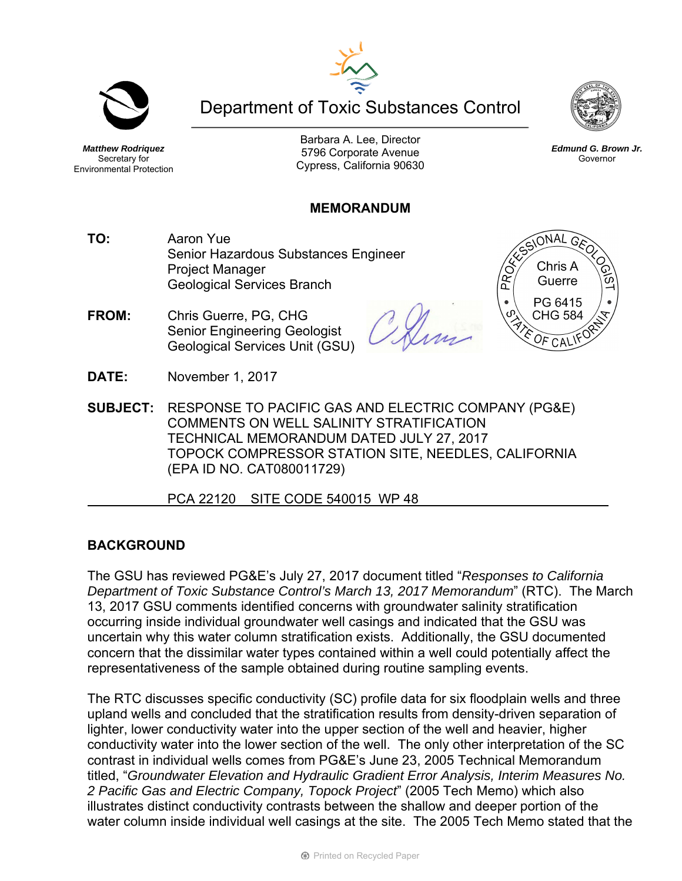Department of Toxic Substances Control

*Matthew Rodriquez*  Secretary for Environmental Protection

Barbara A. Lee, Director 5796 Corporate Avenue Cypress, California 90630

### **MEMORANDUM**

- **TO:** Aaron Yue Senior Hazardous Substances Engineer Project Manager Geological Services Branch
- **FROM:** Chris Guerre, PG, CHG Senior Engineering Geologist Geological Services Unit (GSU)

**DATE:** November 1, 2017

- **SUBJECT:** RESPONSE TO PACIFIC GAS AND ELECTRIC COMPANY (PG&E) COMMENTS ON WELL SALINITY STRATIFICATION TECHNICAL MEMORANDUM DATED JULY 27, 2017 TOPOCK COMPRESSOR STATION SITE, NEEDLES, CALIFORNIA
	- (EPA ID NO. CAT080011729)

PCA 22120 SITE CODE 540015 WP 48

# **BACKGROUND**

The GSU has reviewed PG&E's July 27, 2017 document titled "*Responses to California Department of Toxic Substance Control's March 13, 2017 Memorandum*" (RTC). The March 13, 2017 GSU comments identified concerns with groundwater salinity stratification occurring inside individual groundwater well casings and indicated that the GSU was uncertain why this water column stratification exists. Additionally, the GSU documented concern that the dissimilar water types contained within a well could potentially affect the representativeness of the sample obtained during routine sampling events.

The RTC discusses specific conductivity (SC) profile data for six floodplain wells and three upland wells and concluded that the stratification results from density-driven separation of lighter, lower conductivity water into the upper section of the well and heavier, higher conductivity water into the lower section of the well. The only other interpretation of the SC contrast in individual wells comes from PG&E's June 23, 2005 Technical Memorandum titled, "*Groundwater Elevation and Hydraulic Gradient Error Analysis, Interim Measures No. 2 Pacific Gas and Electric Company, Topock Project*" (2005 Tech Memo) which also illustrates distinct conductivity contrasts between the shallow and deeper portion of the water column inside individual well casings at the site. The 2005 Tech Memo stated that the



*Edmund G. Brown Jr.*  Governor



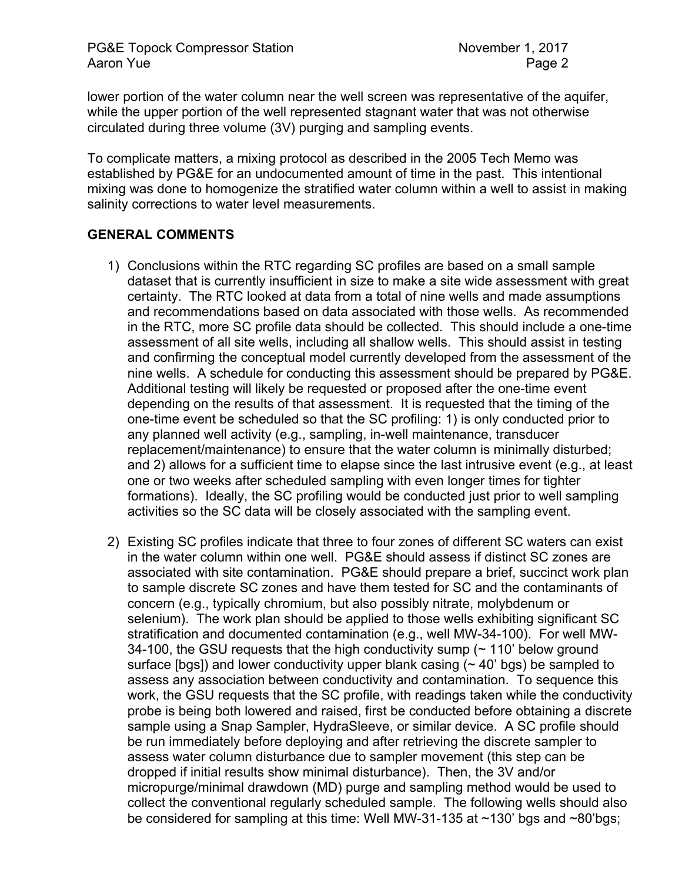lower portion of the water column near the well screen was representative of the aquifer, while the upper portion of the well represented stagnant water that was not otherwise circulated during three volume (3V) purging and sampling events.

To complicate matters, a mixing protocol as described in the 2005 Tech Memo was established by PG&E for an undocumented amount of time in the past. This intentional mixing was done to homogenize the stratified water column within a well to assist in making salinity corrections to water level measurements.

### **GENERAL COMMENTS**

- 1) Conclusions within the RTC regarding SC profiles are based on a small sample dataset that is currently insufficient in size to make a site wide assessment with great certainty. The RTC looked at data from a total of nine wells and made assumptions and recommendations based on data associated with those wells. As recommended in the RTC, more SC profile data should be collected. This should include a one-time assessment of all site wells, including all shallow wells. This should assist in testing and confirming the conceptual model currently developed from the assessment of the nine wells. A schedule for conducting this assessment should be prepared by PG&E. Additional testing will likely be requested or proposed after the one-time event depending on the results of that assessment. It is requested that the timing of the one-time event be scheduled so that the SC profiling: 1) is only conducted prior to any planned well activity (e.g., sampling, in-well maintenance, transducer replacement/maintenance) to ensure that the water column is minimally disturbed; and 2) allows for a sufficient time to elapse since the last intrusive event (e.g., at least one or two weeks after scheduled sampling with even longer times for tighter formations). Ideally, the SC profiling would be conducted just prior to well sampling activities so the SC data will be closely associated with the sampling event.
- 2) Existing SC profiles indicate that three to four zones of different SC waters can exist in the water column within one well. PG&E should assess if distinct SC zones are associated with site contamination. PG&E should prepare a brief, succinct work plan to sample discrete SC zones and have them tested for SC and the contaminants of concern (e.g., typically chromium, but also possibly nitrate, molybdenum or selenium). The work plan should be applied to those wells exhibiting significant SC stratification and documented contamination (e.g., well MW-34-100). For well MW-34-100, the GSU requests that the high conductivity sump  $($   $\sim$  110 $'$  below ground surface [bgs]) and lower conductivity upper blank casing  $($   $\sim$  40' bgs) be sampled to assess any association between conductivity and contamination. To sequence this work, the GSU requests that the SC profile, with readings taken while the conductivity probe is being both lowered and raised, first be conducted before obtaining a discrete sample using a Snap Sampler, HydraSleeve, or similar device. A SC profile should be run immediately before deploying and after retrieving the discrete sampler to assess water column disturbance due to sampler movement (this step can be dropped if initial results show minimal disturbance). Then, the 3V and/or micropurge/minimal drawdown (MD) purge and sampling method would be used to collect the conventional regularly scheduled sample. The following wells should also be considered for sampling at this time: Well MW-31-135 at ~130' bgs and ~80'bgs;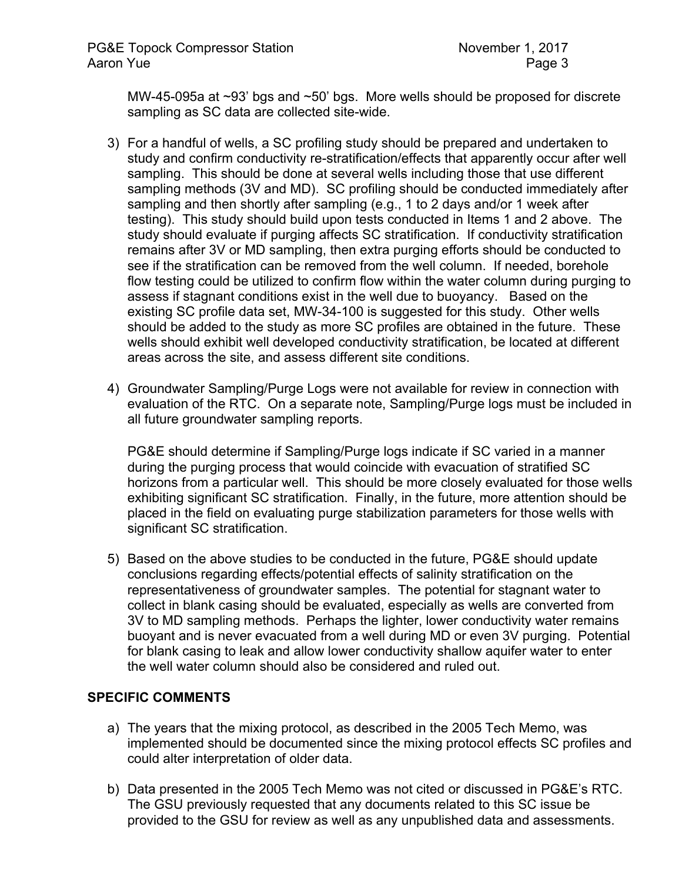MW-45-095a at ~93' bgs and ~50' bgs. More wells should be proposed for discrete sampling as SC data are collected site-wide.

- 3) For a handful of wells, a SC profiling study should be prepared and undertaken to study and confirm conductivity re-stratification/effects that apparently occur after well sampling. This should be done at several wells including those that use different sampling methods (3V and MD). SC profiling should be conducted immediately after sampling and then shortly after sampling (e.g., 1 to 2 days and/or 1 week after testing). This study should build upon tests conducted in Items 1 and 2 above. The study should evaluate if purging affects SC stratification. If conductivity stratification remains after 3V or MD sampling, then extra purging efforts should be conducted to see if the stratification can be removed from the well column. If needed, borehole flow testing could be utilized to confirm flow within the water column during purging to assess if stagnant conditions exist in the well due to buoyancy. Based on the existing SC profile data set, MW-34-100 is suggested for this study. Other wells should be added to the study as more SC profiles are obtained in the future. These wells should exhibit well developed conductivity stratification, be located at different areas across the site, and assess different site conditions.
- 4) Groundwater Sampling/Purge Logs were not available for review in connection with evaluation of the RTC. On a separate note, Sampling/Purge logs must be included in all future groundwater sampling reports.

PG&E should determine if Sampling/Purge logs indicate if SC varied in a manner during the purging process that would coincide with evacuation of stratified SC horizons from a particular well. This should be more closely evaluated for those wells exhibiting significant SC stratification. Finally, in the future, more attention should be placed in the field on evaluating purge stabilization parameters for those wells with significant SC stratification.

5) Based on the above studies to be conducted in the future, PG&E should update conclusions regarding effects/potential effects of salinity stratification on the representativeness of groundwater samples. The potential for stagnant water to collect in blank casing should be evaluated, especially as wells are converted from 3V to MD sampling methods. Perhaps the lighter, lower conductivity water remains buoyant and is never evacuated from a well during MD or even 3V purging. Potential for blank casing to leak and allow lower conductivity shallow aquifer water to enter the well water column should also be considered and ruled out.

# **SPECIFIC COMMENTS**

- a) The years that the mixing protocol, as described in the 2005 Tech Memo, was implemented should be documented since the mixing protocol effects SC profiles and could alter interpretation of older data.
- b) Data presented in the 2005 Tech Memo was not cited or discussed in PG&E's RTC. The GSU previously requested that any documents related to this SC issue be provided to the GSU for review as well as any unpublished data and assessments.